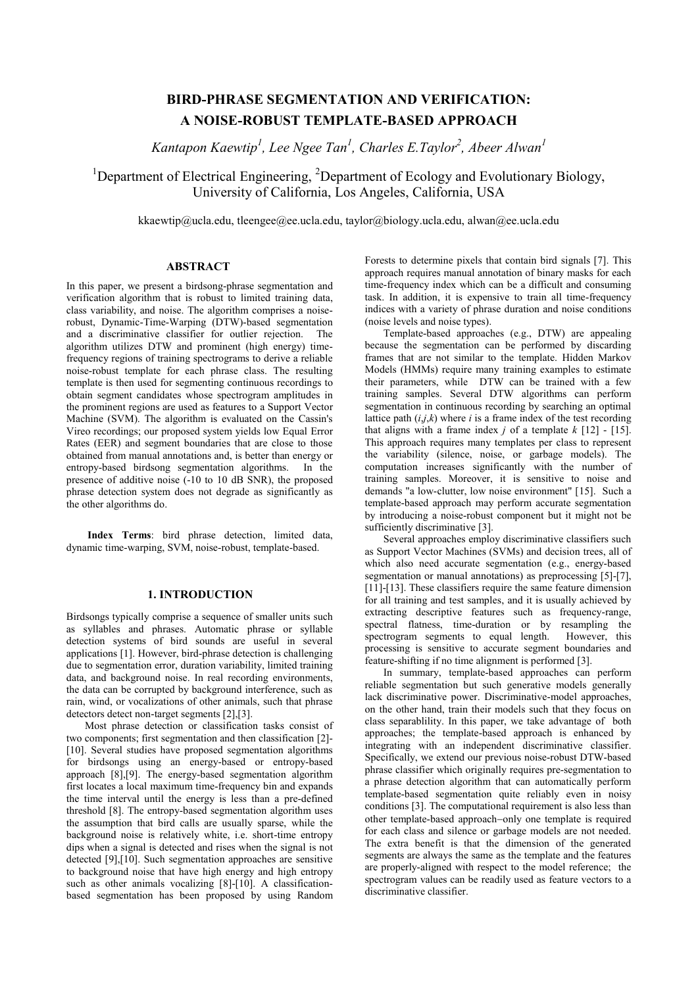# **BIRD-PHRASE SEGMENTATION AND VERIFICATION: A NOISE-ROBUST TEMPLATE-BASED APPROACH**

*Kantapon Kaewtip<sup>1</sup> , Lee Ngee Tan<sup>1</sup> , Charles E.Taylor<sup>2</sup> , Abeer Alwan<sup>1</sup>*

<sup>1</sup>Department of Electrical Engineering,  ${}^{2}$ Department of Ecology and Evolutionary Biology, University of California, Los Angeles, California, USA

kkaewtip@ucla.edu, tleengee@ee.ucla.edu, taylor@biology.ucla.edu, alwan@ee.ucla.edu

## **ABSTRACT**

In this paper, we present a birdsong-phrase segmentation and verification algorithm that is robust to limited training data, class variability, and noise. The algorithm comprises a noiserobust, Dynamic-Time-Warping (DTW)-based segmentation and a discriminative classifier for outlier rejection. The algorithm utilizes DTW and prominent (high energy) timefrequency regions of training spectrograms to derive a reliable noise-robust template for each phrase class. The resulting template is then used for segmenting continuous recordings to obtain segment candidates whose spectrogram amplitudes in the prominent regions are used as features to a Support Vector Machine (SVM). The algorithm is evaluated on the Cassin's Vireo recordings; our proposed system yields low Equal Error Rates (EER) and segment boundaries that are close to those obtained from manual annotations and, is better than energy or entropy-based birdsong segmentation algorithms. In the presence of additive noise (-10 to 10 dB SNR), the proposed phrase detection system does not degrade as significantly as the other algorithms do.

 **Index Terms**: bird phrase detection, limited data, dynamic time-warping, SVM, noise-robust, template-based.

## **1. INTRODUCTION**

Birdsongs typically comprise a sequence of smaller units such as syllables and phrases. Automatic phrase or syllable detection systems of bird sounds are useful in several applications [1]. However, bird-phrase detection is challenging due to segmentation error, duration variability, limited training data, and background noise. In real recording environments, the data can be corrupted by background interference, such as rain, wind, or vocalizations of other animals, such that phrase detectors detect non-target segments [2],[3].

 Most phrase detection or classification tasks consist of two components; first segmentation and then classification [2]- [10]. Several studies have proposed segmentation algorithms for birdsongs using an energy-based or entropy-based approach [8],[9]. The energy-based segmentation algorithm first locates a local maximum time-frequency bin and expands the time interval until the energy is less than a pre-defined threshold [8]. The entropy-based segmentation algorithm uses the assumption that bird calls are usually sparse, while the background noise is relatively white, i.e. short-time entropy dips when a signal is detected and rises when the signal is not detected [9],[10]. Such segmentation approaches are sensitive to background noise that have high energy and high entropy such as other animals vocalizing [8]-[10]. A classificationbased segmentation has been proposed by using Random

Forests to determine pixels that contain bird signals [7]. This approach requires manual annotation of binary masks for each time-frequency index which can be a difficult and consuming task. In addition, it is expensive to train all time-frequency indices with a variety of phrase duration and noise conditions (noise levels and noise types).

 Template-based approaches (e.g., DTW) are appealing because the segmentation can be performed by discarding frames that are not similar to the template. Hidden Markov Models (HMMs) require many training examples to estimate their parameters, while DTW can be trained with a few training samples. Several DTW algorithms can perform segmentation in continuous recording by searching an optimal lattice path  $(i,j,k)$  where *i* is a frame index of the test recording that aligns with a frame index  $j$  of a template  $k$  [12] - [15]. This approach requires many templates per class to represent the variability (silence, noise, or garbage models). The computation increases significantly with the number of training samples. Moreover, it is sensitive to noise and demands "a low-clutter, low noise environment" [15]. Such a template-based approach may perform accurate segmentation by introducing a noise-robust component but it might not be sufficiently discriminative [3].

 Several approaches employ discriminative classifiers such as Support Vector Machines (SVMs) and decision trees, all of which also need accurate segmentation (e.g., energy-based segmentation or manual annotations) as preprocessing [5]-[7], [11]-[13]. These classifiers require the same feature dimension for all training and test samples, and it is usually achieved by extracting descriptive features such as frequency-range, spectral flatness, time-duration or by resampling the spectrogram segments to equal length. However, this processing is sensitive to accurate segment boundaries and feature-shifting if no time alignment is performed [3].

 In summary, template-based approaches can perform reliable segmentation but such generative models generally lack discriminative power. Discriminative-model approaches, on the other hand, train their models such that they focus on class separablility. In this paper, we take advantage of both approaches; the template-based approach is enhanced by integrating with an independent discriminative classifier. Specifically, we extend our previous noise-robust DTW-based phrase classifier which originally requires pre-segmentation to a phrase detection algorithm that can automatically perform template-based segmentation quite reliably even in noisy conditions [3]. The computational requirement is also less than other template-based approach-only one template is required for each class and silence or garbage models are not needed. The extra benefit is that the dimension of the generated segments are always the same as the template and the features are properly-aligned with respect to the model reference; the spectrogram values can be readily used as feature vectors to a discriminative classifier.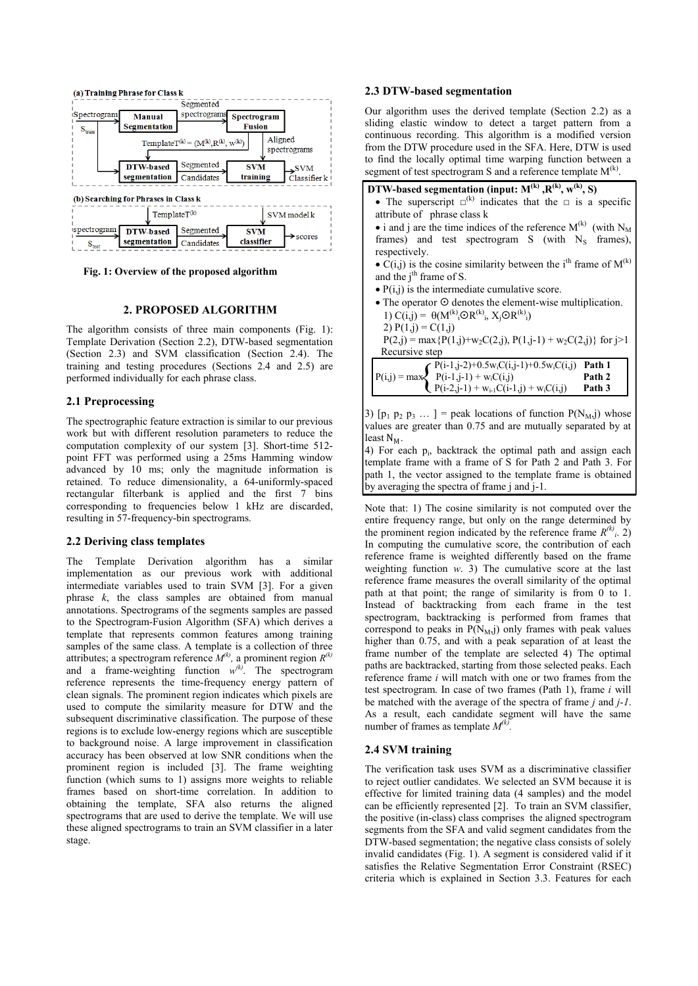

**Fig. 1: Overview of the proposed algorithm**

### **2. PROPOSED ALGORITHM**

The algorithm consists of three main components (Fig. 1): Template Derivation (Section 2.2), DTW-based segmentation (Section 2.3) and SVM classification (Section 2.4). The training and testing procedures (Sections 2.4 and 2.5) are performed individually for each phrase class.

## **2.1 Preprocessing**

The spectrographic feature extraction is similar to our previous work but with different resolution parameters to reduce the computation complexity of our system [3]. Short-time 512 point FFT was performed using a 25ms Hamming window advanced by 10 ms; only the magnitude information is retained. To reduce dimensionality, a 64-uniformly-spaced rectangular filterbank is applied and the first 7 bins corresponding to frequencies below 1 kHz are discarded, resulting in 57-frequency-bin spectrograms.

### **2.2 Deriving class templates**

The Template Derivation algorithm has a similar implementation as our previous work with additional intermediate variables used to train SVM [3]. For a given phrase *k*, the class samples are obtained from manual annotations. Spectrograms of the segments samples are passed to the Spectrogram-Fusion Algorithm (SFA) which derives a template that represents common features among training samples of the same class. A template is a collection of three attributes; a spectrogram reference  $M^{(k)}$ , a prominent region  $R^{(k)}$ and a frame-weighting function  $w^{(k)}$ . The spectrogram reference represents the time-frequency energy pattern of clean signals. The prominent region indicates which pixels are used to compute the similarity measure for DTW and the subsequent discriminative classification. The purpose of these regions is to exclude low-energy regions which are susceptible to background noise. A large improvement in classification accuracy has been observed at low SNR conditions when the prominent region is included [3]. The frame weighting function (which sums to 1) assigns more weights to reliable frames based on short-time correlation. In addition to obtaining the template, SFA also returns the aligned spectrograms that are used to derive the template. We will use these aligned spectrograms to train an SVM classifier in a later stage.

## **2.3 DTW-based segmentation**

Our algorithm uses the derived template (Section 2.2) as a sliding elastic window to detect a target pattern from a continuous recording. This algorithm is a modified version from the DTW procedure used in the SFA. Here, DTW is used to find the locally optimal time warping function between a segment of test spectrogram S and a reference template  $M^{(k)}$ .

|  | DTW-based segmentation (input: $M^{(k)}$ , $R^{(k)}$ , $W^{(k)}$ , S) |  |
|--|-----------------------------------------------------------------------|--|
|--|-----------------------------------------------------------------------|--|

- The superscript  $\square^{(k)}$  indicates that the  $\square$  is a specific attribute of phrase class k • i and j are the time indices of the reference  $M^{(k)}$  (with  $N_M$
- frames) and test spectrogram S (with  $N<sub>S</sub>$  frames), respectively.
- $\bullet$  C(i,j) is the cosine similarity between the i<sup>th</sup> frame of M<sup>(k)</sup> and the j<sup>th</sup> frame of S.
- $\bullet$  P(i,j) is the intermediate cumulative score.
- $\bullet$  The operator  $\odot$  denotes the element-wise multiplication. 1)  $C(i,j) = \theta(M^{(k)}_{i} \odot R^{(k)}_{i}, X_{j} \odot R^{(k)}_{i})$ 2)  $P(1,j) = C(1,j)$  $P(2,j) = \max\{P(1,j)+w_2C(2,j), P(1,j-1) + w_2C(2,j)\}\$  for j>1 Recursive step

| $P(i,j) = max$ $P(i-1,j-1) + w_iC(i,j)$ |        | $\int P(i-1,j-2)+0.5w_iC(i,j-1)+0.5w_iC(i,j)$ Path 1 |
|-----------------------------------------|--------|------------------------------------------------------|
|                                         | Path 2 |                                                      |
|                                         | Path 3 | $P(i-2,j-1) + w_{i-1}C(i-1,j) + w_iC(i,j)$           |

3)  $[p_1 \ p_2 \ p_3 \dots]$  = peak locations of function  $P(N_M,j)$  whose values are greater than 0.75 and are mutually separated by at least  $N_M$ .

4) For each p<sup>i</sup> , backtrack the optimal path and assign each template frame with a frame of S for Path 2 and Path 3. For path 1, the vector assigned to the template frame is obtained by averaging the spectra of frame j and j-1.

Note that: 1) The cosine similarity is not computed over the entire frequency range, but only on the range determined by the prominent region indicated by the reference frame  $R^{(k)}$ . 2) In computing the cumulative score, the contribution of each reference frame is weighted differently based on the frame weighting function  $w$ . 3) The cumulative score at the last reference frame measures the overall similarity of the optimal path at that point; the range of similarity is from 0 to 1. Instead of backtracking from each frame in the test spectrogram, backtracking is performed from frames that correspond to peaks in  $P(N_M,j)$  only frames with peak values higher than  $0.75$ , and with a peak separation of at least the frame number of the template are selected 4) The optimal paths are backtracked, starting from those selected peaks. Each reference frame *i* will match with one or two frames from the test spectrogram. In case of two frames (Path 1), frame *i* will be matched with the average of the spectra of frame *j* and *j-1*. As a result, each candidate segment will have the same number of frames as template  $M^{(k)}$ .

## **2.4 SVM training**

The verification task uses SVM as a discriminative classifier to reject outlier candidates. We selected an SVM because it is effective for limited training data (4 samples) and the model can be efficiently represented [2]. To train an SVM classifier, the positive (in-class) class comprises the aligned spectrogram segments from the SFA and valid segment candidates from the DTW-based segmentation; the negative class consists of solely invalid candidates (Fig. 1). A segment is considered valid if it satisfies the Relative Segmentation Error Constraint (RSEC) criteria which is explained in Section 3.3. Features for each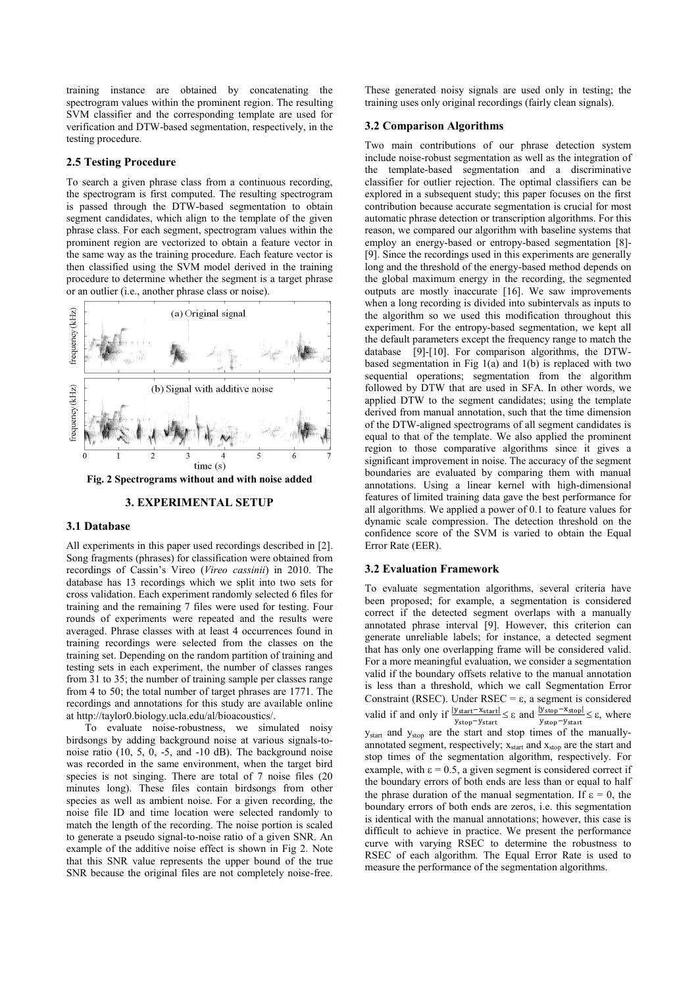training instance are obtained by concatenating the spectrogram values within the prominent region. The resulting SVM classifier and the corresponding template are used for verification and DTW-based segmentation, respectively, in the testing procedure.

#### **2.5 Testing Procedure**

To search a given phrase class from a continuous recording, the spectrogram is first computed. The resulting spectrogram is passed through the DTW-based segmentation to obtain segment candidates, which align to the template of the given phrase class. For each segment, spectrogram values within the prominent region are vectorized to obtain a feature vector in the same way as the training procedure. Each feature vector is then classified using the SVM model derived in the training procedure to determine whether the segment is a target phrase or an outlier (i.e., another phrase class or noise).



**Fig. 2 Spectrograms without and with noise added**

#### **3. EXPERIMENTAL SETUP**

#### **3.1 Database**

All experiments in this paper used recordings described in [2]. Song fragments (phrases) for classification were obtained from recordings of Cassin's Vireo (*Vireo cassinii*) in 2010. The database has 13 recordings which we split into two sets for cross validation. Each experiment randomly selected 6 files for training and the remaining 7 files were used for testing. Four rounds of experiments were repeated and the results were averaged. Phrase classes with at least 4 occurrences found in training recordings were selected from the classes on the training set. Depending on the random partition of training and testing sets in each experiment, the number of classes ranges from 31 to 35; the number of training sample per classes range from 4 to 50; the total number of target phrases are 1771. The recordings and annotations for this study are available online at http://taylor0.biology.ucla.edu/al/bioacoustics/.

 To evaluate noise-robustness, we simulated noisy birdsongs by adding background noise at various signals-tonoise ratio (10, 5, 0, -5, and -10 dB). The background noise was recorded in the same environment, when the target bird species is not singing. There are total of 7 noise files (20 minutes long). These files contain birdsongs from other species as well as ambient noise. For a given recording, the noise file ID and time location were selected randomly to match the length of the recording. The noise portion is scaled to generate a pseudo signal-to-noise ratio of a given SNR. An example of the additive noise effect is shown in Fig 2. Note that this SNR value represents the upper bound of the true SNR because the original files are not completely noise-free. These generated noisy signals are used only in testing; the training uses only original recordings (fairly clean signals).

#### **3.2 Comparison Algorithms**

Two main contributions of our phrase detection system include noise-robust segmentation as well as the integration of the template-based segmentation and a discriminative classifier for outlier rejection. The optimal classifiers can be explored in a subsequent study; this paper focuses on the first contribution because accurate segmentation is crucial for most automatic phrase detection or transcription algorithms. For this reason, we compared our algorithm with baseline systems that employ an energy-based or entropy-based segmentation [8]- [9]. Since the recordings used in this experiments are generally long and the threshold of the energy-based method depends on the global maximum energy in the recording, the segmented outputs are mostly inaccurate [16]. We saw improvements when a long recording is divided into subintervals as inputs to the algorithm so we used this modification throughout this experiment. For the entropy-based segmentation, we kept all the default parameters except the frequency range to match the database [9]-[10]. For comparison algorithms, the DTWbased segmentation in Fig 1(a) and 1(b) is replaced with two sequential operations; segmentation from the algorithm followed by DTW that are used in SFA. In other words, we applied DTW to the segment candidates; using the template derived from manual annotation, such that the time dimension of the DTW-aligned spectrograms of all segment candidates is equal to that of the template. We also applied the prominent region to those comparative algorithms since it gives a significant improvement in noise. The accuracy of the segment boundaries are evaluated by comparing them with manual annotations. Using a linear kernel with high-dimensional features of limited training data gave the best performance for all algorithms. We applied a power of 0.1 to feature values for dynamic scale compression. The detection threshold on the confidence score of the SVM is varied to obtain the Equal Error Rate (EER).

#### **3.2 Evaluation Framework**

To evaluate segmentation algorithms, several criteria have been proposed; for example, a segmentation is considered correct if the detected segment overlaps with a manually annotated phrase interval [9]. However, this criterion can generate unreliable labels; for instance, a detected segment that has only one overlapping frame will be considered valid. For a more meaningful evaluation, we consider a segmentation valid if the boundary offsets relative to the manual annotation is less than a threshold, which we call Segmentation Error Constraint (RSEC). Under RSEC =  $\varepsilon$ , a segment is considered valid if and only if  $\frac{|y_{\text{start}} - x_{\text{start}}|}{y_{\text{stop}} - y_{\text{start}}} \leq \varepsilon$  and  $\frac{|y_{\text{stop}} - x_{\text{stop}}|}{y_{\text{stop}} - y_{\text{start}}} \leq \varepsilon$ , where y<sub>start</sub> and y<sub>stop</sub> are the start and stop times of the manuallyannotated segment, respectively;  $x_{start}$  and  $x_{stop}$  are the start and stop times of the segmentation algorithm, respectively. For example, with  $\varepsilon = 0.5$ , a given segment is considered correct if the boundary errors of both ends are less than or equal to half the phrase duration of the manual segmentation. If  $\varepsilon = 0$ , the boundary errors of both ends are zeros, i.e. this segmentation is identical with the manual annotations; however, this case is difficult to achieve in practice. We present the performance curve with varying RSEC to determine the robustness to RSEC of each algorithm. The Equal Error Rate is used to measure the performance of the segmentation algorithms.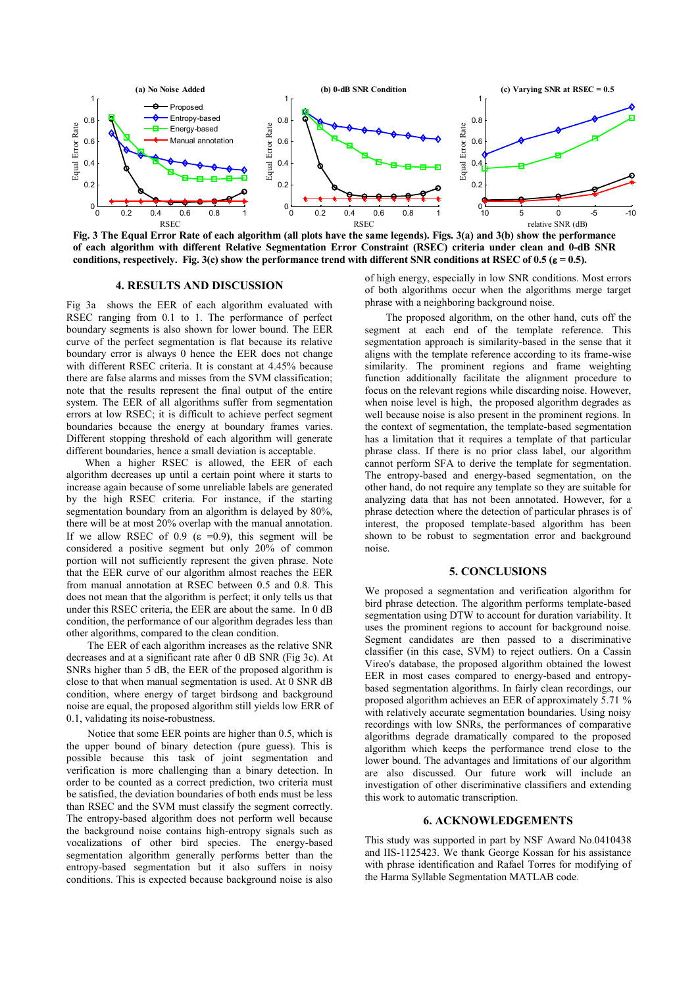

**Fig. 3 The Equal Error Rate of each algorithm (all plots have the same legends). Figs. 3(a) and 3(b) show the performance of each algorithm with different Relative Segmentation Error Constraint (RSEC) criteria under clean and 0-dB SNR**  conditions, respectively. Fig. 3(c) show the performance trend with different SNR conditions at RSEC of  $0.5$  ( $\varepsilon = 0.5$ ).

#### **4. RESULTS AND DISCUSSION**

Fig 3a shows the EER of each algorithm evaluated with RSEC ranging from 0.1 to 1. The performance of perfect boundary segments is also shown for lower bound. The EER curve of the perfect segmentation is flat because its relative boundary error is always 0 hence the EER does not change with different RSEC criteria. It is constant at 4.45% because there are false alarms and misses from the SVM classification; note that the results represent the final output of the entire system. The EER of all algorithms suffer from segmentation errors at low RSEC; it is difficult to achieve perfect segment boundaries because the energy at boundary frames varies. Different stopping threshold of each algorithm will generate different boundaries, hence a small deviation is acceptable.

 When a higher RSEC is allowed, the EER of each algorithm decreases up until a certain point where it starts to increase again because of some unreliable labels are generated by the high RSEC criteria. For instance, if the starting segmentation boundary from an algorithm is delayed by 80%, there will be at most 20% overlap with the manual annotation. If we allow RSEC of 0.9 ( $\varepsilon$  =0.9), this segment will be considered a positive segment but only 20% of common portion will not sufficiently represent the given phrase. Note that the EER curve of our algorithm almost reaches the EER from manual annotation at RSEC between 0.5 and 0.8. This does not mean that the algorithm is perfect; it only tells us that under this RSEC criteria, the EER are about the same. In 0 dB condition, the performance of our algorithm degrades less than other algorithms, compared to the clean condition.

 The EER of each algorithm increases as the relative SNR decreases and at a significant rate after 0 dB SNR (Fig 3c). At SNRs higher than 5 dB, the EER of the proposed algorithm is close to that when manual segmentation is used. At 0 SNR dB condition, where energy of target birdsong and background noise are equal, the proposed algorithm still yields low ERR of 0.1, validating its noise-robustness.

Notice that some EER points are higher than 0.5, which is the upper bound of binary detection (pure guess). This is possible because this task of joint segmentation and verification is more challenging than a binary detection. In order to be counted as a correct prediction, two criteria must be satisfied, the deviation boundaries of both ends must be less than RSEC and the SVM must classify the segment correctly. The entropy-based algorithm does not perform well because the background noise contains high-entropy signals such as vocalizations of other bird species. The energy-based segmentation algorithm generally performs better than the entropy-based segmentation but it also suffers in noisy conditions. This is expected because background noise is also of high energy, especially in low SNR conditions. Most errors of both algorithms occur when the algorithms merge target phrase with a neighboring background noise.

The proposed algorithm, on the other hand, cuts off the segment at each end of the template reference. This segmentation approach is similarity-based in the sense that it aligns with the template reference according to its frame-wise similarity. The prominent regions and frame weighting function additionally facilitate the alignment procedure to focus on the relevant regions while discarding noise. However, when noise level is high, the proposed algorithm degrades as well because noise is also present in the prominent regions. In the context of segmentation, the template-based segmentation has a limitation that it requires a template of that particular phrase class. If there is no prior class label, our algorithm cannot perform SFA to derive the template for segmentation. The entropy-based and energy-based segmentation, on the other hand, do not require any template so they are suitable for analyzing data that has not been annotated. However, for a phrase detection where the detection of particular phrases is of interest, the proposed template-based algorithm has been shown to be robust to segmentation error and background noise.

#### **5. CONCLUSIONS**

We proposed a segmentation and verification algorithm for bird phrase detection. The algorithm performs template-based segmentation using DTW to account for duration variability. It uses the prominent regions to account for background noise. Segment candidates are then passed to a discriminative classifier (in this case, SVM) to reject outliers. On a Cassin Vireo's database, the proposed algorithm obtained the lowest EER in most cases compared to energy-based and entropybased segmentation algorithms. In fairly clean recordings, our proposed algorithm achieves an EER of approximately 5.71 % with relatively accurate segmentation boundaries. Using noisy recordings with low SNRs, the performances of comparative algorithms degrade dramatically compared to the proposed algorithm which keeps the performance trend close to the lower bound. The advantages and limitations of our algorithm are also discussed. Our future work will include an investigation of other discriminative classifiers and extending this work to automatic transcription.

#### **6. ACKNOWLEDGEMENTS**

This study was supported in part by NSF Award No.0410438 and IIS-1125423. We thank George Kossan for his assistance with phrase identification and Rafael Torres for modifying of the Harma Syllable Segmentation MATLAB code.